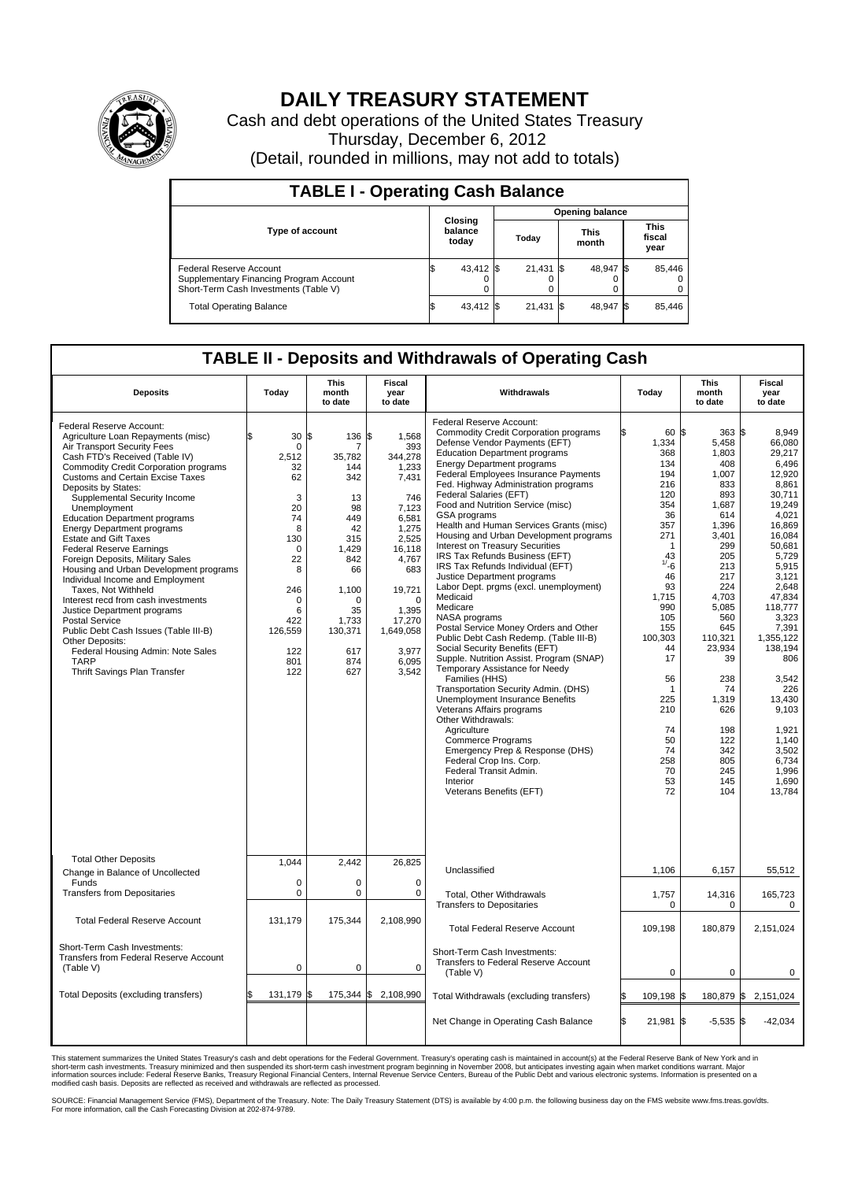

## **DAILY TREASURY STATEMENT**

Cash and debt operations of the United States Treasury Thursday, December 6, 2012 (Detail, rounded in millions, may not add to totals)

| <b>TABLE I - Operating Cash Balance</b>                                                                     |                             |           |                        |        |      |                |  |                               |  |  |
|-------------------------------------------------------------------------------------------------------------|-----------------------------|-----------|------------------------|--------|------|----------------|--|-------------------------------|--|--|
|                                                                                                             | Closing<br>balance<br>today |           | <b>Opening balance</b> |        |      |                |  |                               |  |  |
| <b>Type of account</b>                                                                                      |                             |           |                        | Today  |      | This<br>month  |  | <b>This</b><br>fiscal<br>year |  |  |
| Federal Reserve Account<br>Supplementary Financing Program Account<br>Short-Term Cash Investments (Table V) | ß.                          | 43,412 \$ |                        | 21,431 | - 13 | 48,947 \$<br>0 |  | 85,446<br>$^{(1)}$<br>0       |  |  |
| <b>Total Operating Balance</b>                                                                              | ß.                          | 43,412    |                        | 21,431 |      | 48,947 \$      |  | 85,446                        |  |  |

## **TABLE II - Deposits and Withdrawals of Operating Cash**

| <b>Deposits</b>                                                                                                                                                                                                                                                                                                                                                                                                                                                                                                                                                                                                                                                                                                                                                                                                             | Today                                                                                                                                         | <b>This</b><br>month<br>to date                                                                                                                     | Fiscal<br>year<br>to date                                                                                                                                                                                | Withdrawals                                                                                                                                                                                                                                                                                                                                                                                                                                                                                                                                                                                                                                                                                                                                                                                                                                                                                                                                                                                                                                                                                                                                                                                        | Today                                                                                                                                                                                                                                                       | This<br>month<br>to date                                                                                                                                                                                                                                                          | Fiscal<br>vear<br>to date                                                                                                                                                                                                                                                                                                     |  |  |
|-----------------------------------------------------------------------------------------------------------------------------------------------------------------------------------------------------------------------------------------------------------------------------------------------------------------------------------------------------------------------------------------------------------------------------------------------------------------------------------------------------------------------------------------------------------------------------------------------------------------------------------------------------------------------------------------------------------------------------------------------------------------------------------------------------------------------------|-----------------------------------------------------------------------------------------------------------------------------------------------|-----------------------------------------------------------------------------------------------------------------------------------------------------|----------------------------------------------------------------------------------------------------------------------------------------------------------------------------------------------------------|----------------------------------------------------------------------------------------------------------------------------------------------------------------------------------------------------------------------------------------------------------------------------------------------------------------------------------------------------------------------------------------------------------------------------------------------------------------------------------------------------------------------------------------------------------------------------------------------------------------------------------------------------------------------------------------------------------------------------------------------------------------------------------------------------------------------------------------------------------------------------------------------------------------------------------------------------------------------------------------------------------------------------------------------------------------------------------------------------------------------------------------------------------------------------------------------------|-------------------------------------------------------------------------------------------------------------------------------------------------------------------------------------------------------------------------------------------------------------|-----------------------------------------------------------------------------------------------------------------------------------------------------------------------------------------------------------------------------------------------------------------------------------|-------------------------------------------------------------------------------------------------------------------------------------------------------------------------------------------------------------------------------------------------------------------------------------------------------------------------------|--|--|
| Federal Reserve Account:<br>Agriculture Loan Repayments (misc)<br>Air Transport Security Fees<br>Cash FTD's Received (Table IV)<br>Commodity Credit Corporation programs<br><b>Customs and Certain Excise Taxes</b><br>Deposits by States:<br>Supplemental Security Income<br>Unemployment<br><b>Education Department programs</b><br><b>Energy Department programs</b><br><b>Estate and Gift Taxes</b><br><b>Federal Reserve Earnings</b><br>Foreign Deposits, Military Sales<br>Housing and Urban Development programs<br>Individual Income and Employment<br>Taxes, Not Withheld<br>Interest recd from cash investments<br>Justice Department programs<br>Postal Service<br>Public Debt Cash Issues (Table III-B)<br>Other Deposits:<br>Federal Housing Admin: Note Sales<br><b>TARP</b><br>Thrift Savings Plan Transfer | 30 S<br>$\mathbf 0$<br>2.512<br>32<br>62<br>3<br>20<br>74<br>8<br>130<br>0<br>22<br>8<br>246<br>0<br>6<br>422<br>126,559<br>122<br>801<br>122 | 136<br>7<br>35,782<br>144<br>342<br>13<br>98<br>449<br>42<br>315<br>1,429<br>842<br>66<br>1,100<br>0<br>35<br>1,733<br>130,371<br>617<br>874<br>627 | 1,568<br>\$<br>393<br>344,278<br>1,233<br>7,431<br>746<br>7.123<br>6,581<br>1,275<br>2,525<br>16,118<br>4,767<br>683<br>19,721<br>$\mathbf 0$<br>1,395<br>17,270<br>1,649,058<br>3,977<br>6.095<br>3,542 | Federal Reserve Account:<br><b>Commodity Credit Corporation programs</b><br>Defense Vendor Payments (EFT)<br><b>Education Department programs</b><br><b>Energy Department programs</b><br>Federal Employees Insurance Payments<br>Fed. Highway Administration programs<br>Federal Salaries (EFT)<br>Food and Nutrition Service (misc)<br>GSA programs<br>Health and Human Services Grants (misc)<br>Housing and Urban Development programs<br>Interest on Treasury Securities<br>IRS Tax Refunds Business (EFT)<br>IRS Tax Refunds Individual (EFT)<br>Justice Department programs<br>Labor Dept. prgms (excl. unemployment)<br>Medicaid<br>Medicare<br>NASA programs<br>Postal Service Money Orders and Other<br>Public Debt Cash Redemp. (Table III-B)<br>Social Security Benefits (EFT)<br>Supple. Nutrition Assist. Program (SNAP)<br>Temporary Assistance for Needy<br>Families (HHS)<br>Transportation Security Admin. (DHS)<br>Unemployment Insurance Benefits<br>Veterans Affairs programs<br>Other Withdrawals:<br>Agriculture<br><b>Commerce Programs</b><br>Emergency Prep & Response (DHS)<br>Federal Crop Ins. Corp.<br>Federal Transit Admin.<br>Interior<br>Veterans Benefits (EFT) | 60 \$<br>1,334<br>368<br>134<br>194<br>216<br>120<br>354<br>36<br>357<br>271<br>$\overline{1}$<br>43<br>1/16<br>46<br>93<br>1.715<br>990<br>105<br>155<br>100,303<br>44<br>17<br>56<br>$\mathbf 1$<br>225<br>210<br>74<br>50<br>74<br>258<br>70<br>53<br>72 | $363$ $\frac{1}{3}$<br>5,458<br>1,803<br>408<br>1,007<br>833<br>893<br>1.687<br>614<br>1,396<br>3,401<br>299<br>205<br>213<br>217<br>224<br>4.703<br>5,085<br>560<br>645<br>110,321<br>23,934<br>39<br>238<br>74<br>1,319<br>626<br>198<br>122<br>342<br>805<br>245<br>145<br>104 | 8.949<br>66,080<br>29,217<br>6,496<br>12.920<br>8,861<br>30,711<br>19.249<br>4.021<br>16,869<br>16,084<br>50.681<br>5,729<br>5,915<br>3,121<br>2.648<br>47.834<br>118,777<br>3,323<br>7,391<br>1,355,122<br>138,194<br>806<br>3,542<br>226<br>13.430<br>9,103<br>1,921<br>1.140<br>3,502<br>6,734<br>1,996<br>1,690<br>13,784 |  |  |
| <b>Total Other Deposits</b><br>Change in Balance of Uncollected                                                                                                                                                                                                                                                                                                                                                                                                                                                                                                                                                                                                                                                                                                                                                             | 1.044                                                                                                                                         | 2.442                                                                                                                                               | 26,825                                                                                                                                                                                                   | Unclassified                                                                                                                                                                                                                                                                                                                                                                                                                                                                                                                                                                                                                                                                                                                                                                                                                                                                                                                                                                                                                                                                                                                                                                                       | 1,106                                                                                                                                                                                                                                                       | 6,157                                                                                                                                                                                                                                                                             | 55,512                                                                                                                                                                                                                                                                                                                        |  |  |
| Funds<br><b>Transfers from Depositaries</b>                                                                                                                                                                                                                                                                                                                                                                                                                                                                                                                                                                                                                                                                                                                                                                                 | 0<br>$\pmb{0}$                                                                                                                                | 0<br>0                                                                                                                                              | $\mathbf 0$<br>$\mathbf 0$                                                                                                                                                                               | Total, Other Withdrawals<br><b>Transfers to Depositaries</b>                                                                                                                                                                                                                                                                                                                                                                                                                                                                                                                                                                                                                                                                                                                                                                                                                                                                                                                                                                                                                                                                                                                                       | 1,757<br>$\mathbf 0$                                                                                                                                                                                                                                        | 14,316<br>$\mathbf 0$                                                                                                                                                                                                                                                             | 165,723<br>0                                                                                                                                                                                                                                                                                                                  |  |  |
| <b>Total Federal Reserve Account</b>                                                                                                                                                                                                                                                                                                                                                                                                                                                                                                                                                                                                                                                                                                                                                                                        | 131,179                                                                                                                                       | 175,344                                                                                                                                             | 2,108,990                                                                                                                                                                                                | <b>Total Federal Reserve Account</b>                                                                                                                                                                                                                                                                                                                                                                                                                                                                                                                                                                                                                                                                                                                                                                                                                                                                                                                                                                                                                                                                                                                                                               | 109,198                                                                                                                                                                                                                                                     | 180,879                                                                                                                                                                                                                                                                           | 2,151,024                                                                                                                                                                                                                                                                                                                     |  |  |
| Short-Term Cash Investments:<br>Transfers from Federal Reserve Account<br>(Table V)                                                                                                                                                                                                                                                                                                                                                                                                                                                                                                                                                                                                                                                                                                                                         | $\mathbf 0$                                                                                                                                   | $\mathbf 0$                                                                                                                                         | $\mathbf 0$                                                                                                                                                                                              | Short-Term Cash Investments:<br>Transfers to Federal Reserve Account<br>(Table V)                                                                                                                                                                                                                                                                                                                                                                                                                                                                                                                                                                                                                                                                                                                                                                                                                                                                                                                                                                                                                                                                                                                  | $\mathbf 0$                                                                                                                                                                                                                                                 | 0                                                                                                                                                                                                                                                                                 | 0                                                                                                                                                                                                                                                                                                                             |  |  |
| Total Deposits (excluding transfers)                                                                                                                                                                                                                                                                                                                                                                                                                                                                                                                                                                                                                                                                                                                                                                                        | 131,179                                                                                                                                       | l\$<br>175,344                                                                                                                                      | 2,108,990<br>S.                                                                                                                                                                                          | Total Withdrawals (excluding transfers)                                                                                                                                                                                                                                                                                                                                                                                                                                                                                                                                                                                                                                                                                                                                                                                                                                                                                                                                                                                                                                                                                                                                                            | 109,198 \$<br>\$                                                                                                                                                                                                                                            |                                                                                                                                                                                                                                                                                   | 180,879 \$2,151,024                                                                                                                                                                                                                                                                                                           |  |  |
|                                                                                                                                                                                                                                                                                                                                                                                                                                                                                                                                                                                                                                                                                                                                                                                                                             |                                                                                                                                               |                                                                                                                                                     |                                                                                                                                                                                                          | Net Change in Operating Cash Balance                                                                                                                                                                                                                                                                                                                                                                                                                                                                                                                                                                                                                                                                                                                                                                                                                                                                                                                                                                                                                                                                                                                                                               | S.<br>21,981 \$                                                                                                                                                                                                                                             | $-5,535$ \$                                                                                                                                                                                                                                                                       | $-42,034$                                                                                                                                                                                                                                                                                                                     |  |  |

This statement summarizes the United States Treasury's cash and debt operations for the Federal Government. Treasury's operating cash is maintained in account(s) at the Federal Reserve Bank of New York and in<br>short-term ca

SOURCE: Financial Management Service (FMS), Department of the Treasury. Note: The Daily Treasury Statement (DTS) is available by 4:00 p.m. the following business day on the FMS website www.fms.treas.gov/dts.<br>For more infor